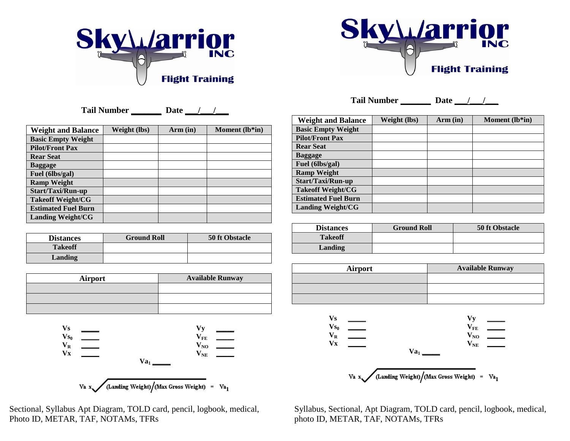



**Tail Number \_\_\_\_\_\_\_ Date \_\_\_/\_\_\_/\_\_\_**

| <b>Weight and Balance</b>  | Weight (lbs) | Arm (in) | Moment (lb*in) |
|----------------------------|--------------|----------|----------------|
| <b>Basic Empty Weight</b>  |              |          |                |
| <b>Pilot/Front Pax</b>     |              |          |                |
| <b>Rear Seat</b>           |              |          |                |
| <b>Baggage</b>             |              |          |                |
| Fuel (6lbs/gal)            |              |          |                |
| <b>Ramp Weight</b>         |              |          |                |
| Start/Taxi/Run-up          |              |          |                |
| <b>Takeoff Weight/CG</b>   |              |          |                |
| <b>Estimated Fuel Burn</b> |              |          |                |
| <b>Landing Weight/CG</b>   |              |          |                |

| <b>Distances</b> | <b>Ground Roll</b> | 50 ft Obstacle |
|------------------|--------------------|----------------|
| <b>Takeoff</b>   |                    |                |
| Landing          |                    |                |

| Airport | <b>Available Runway</b> |
|---------|-------------------------|
|         |                         |
|         |                         |
|         |                         |





Photo ID, METAR, TAF, NOTAMs, TFRs photo ID, METAR, TAF, NOTAMs, TFRs

**Tail Number \_\_\_\_\_\_\_ Date \_\_\_/\_\_\_/\_\_\_**

| <b>Weight and Balance</b>  | Weight (lbs) | Arm (in) | Moment (lb*in) |
|----------------------------|--------------|----------|----------------|
| <b>Basic Empty Weight</b>  |              |          |                |
| <b>Pilot/Front Pax</b>     |              |          |                |
| <b>Rear Seat</b>           |              |          |                |
| <b>Baggage</b>             |              |          |                |
| Fuel (6lbs/gal)            |              |          |                |
| <b>Ramp Weight</b>         |              |          |                |
| Start/Taxi/Run-up          |              |          |                |
| <b>Takeoff Weight/CG</b>   |              |          |                |
| <b>Estimated Fuel Burn</b> |              |          |                |
| <b>Landing Weight/CG</b>   |              |          |                |

| <b>Distances</b> | <b>Ground Roll</b> | 50 ft Obstacle |
|------------------|--------------------|----------------|
| <b>Takeoff</b>   |                    |                |
| Landing          |                    |                |

| Airport | <b>Available Runway</b> |
|---------|-------------------------|
|         |                         |
|         |                         |
|         |                         |



Sectional, Syllabus Apt Diagram, TOLD card, pencil, logbook, medical, Syllabus, Sectional, Apt Diagram, TOLD card, pencil, logbook, medical,